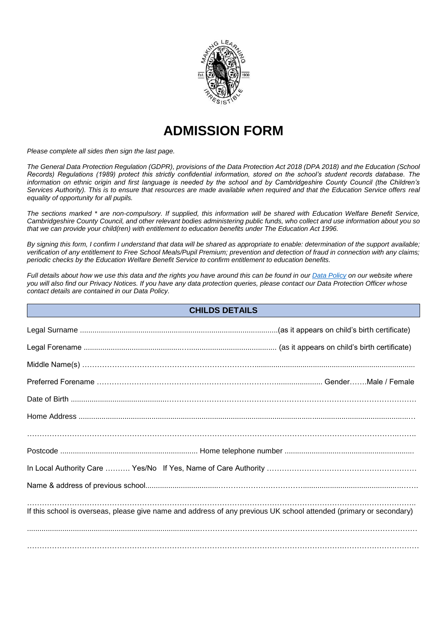

# **ADMISSION FORM**

*Please complete all sides then sign the last page.* 

*The [General Data Protection Regulation \(GDPR\),](http://data.consilium.europa.eu/doc/document/ST-5419-2016-INIT/en/pdf) provisions of the Data Protection Act 2018 (DPA 2018) and the Education (School Records) Regulations (1989) protect this strictly confidential information, stored on the school's student records database. The information on ethnic origin and first language is needed by the school and by Cambridgeshire County Council (the Children's Services Authority). This is to ensure that resources are made available when required and that the Education Service offers real equality of opportunity for all pupils.* 

*The sections marked \* are non-compulsory. If supplied, this information will be shared with Education Welfare Benefit Service, Cambridgeshire County Council, and other relevant bodies administering public funds, who collect and use information about you so that we can provide your child(ren) with entitlement to education benefits under The Education Act 1996.* 

*By signing this form, I confirm I understand that data will be shared as appropriate to enable: determination of the support available; verification of any entitlement to Free School Meals/Pupil Premium; prevention and detection of fraud in connection with any claims; periodic checks by the Education Welfare Benefit Service to confirm entitlement to education benefits.*

*Full details about how we use this data and the rights you have around this can be found in ou[r Data Policy](http://www.morley.cambs.sch.uk/our-school/policies/) on our website where you will also find our Privacy Notices. If you have any data protection queries, please contact our Data Protection Officer whose contact details are contained in our Data Policy.*

| <b>CHILDS DETAILS</b>                                                                                              |  |  |  |  |  |  |
|--------------------------------------------------------------------------------------------------------------------|--|--|--|--|--|--|
|                                                                                                                    |  |  |  |  |  |  |
|                                                                                                                    |  |  |  |  |  |  |
|                                                                                                                    |  |  |  |  |  |  |
|                                                                                                                    |  |  |  |  |  |  |
|                                                                                                                    |  |  |  |  |  |  |
|                                                                                                                    |  |  |  |  |  |  |
|                                                                                                                    |  |  |  |  |  |  |
|                                                                                                                    |  |  |  |  |  |  |
|                                                                                                                    |  |  |  |  |  |  |
|                                                                                                                    |  |  |  |  |  |  |
| If this school is overseas, please give name and address of any previous UK school attended (primary or secondary) |  |  |  |  |  |  |
|                                                                                                                    |  |  |  |  |  |  |
|                                                                                                                    |  |  |  |  |  |  |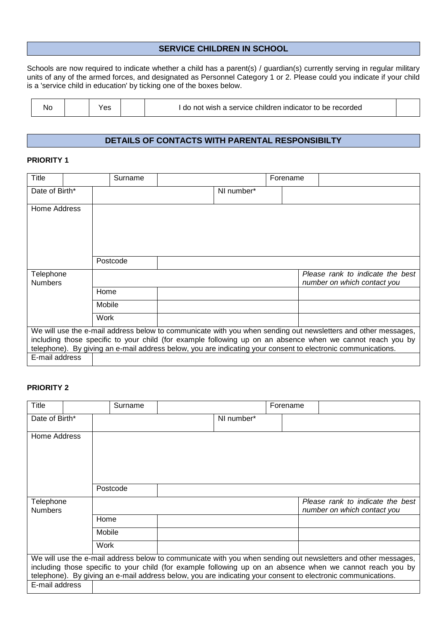#### **SERVICE CHILDREN IN SCHOOL**

Schools are now required to indicate whether a child has a parent(s) / guardian(s) currently serving in regular military units of any of the armed forces, and designated as Personnel Category 1 or 2. Please could you indicate if your child is a 'service child in education' by ticking one of the boxes below.

| Nc | ິ |  | i indicator to be recorded<br>i service children.<br>not<br>wish a<br>d0 |  |
|----|---|--|--------------------------------------------------------------------------|--|
|----|---|--|--------------------------------------------------------------------------|--|

# **DETAILS OF CONTACTS WITH PARENTAL RESPONSIBILTY**

#### **PRIORITY 1**

| Title                                                                                                                                                                                                                                                                                                                                                         |  |        | Surname  |  |            | Forename |                                                                 |
|---------------------------------------------------------------------------------------------------------------------------------------------------------------------------------------------------------------------------------------------------------------------------------------------------------------------------------------------------------------|--|--------|----------|--|------------|----------|-----------------------------------------------------------------|
| Date of Birth*                                                                                                                                                                                                                                                                                                                                                |  |        |          |  | NI number* |          |                                                                 |
| Home Address                                                                                                                                                                                                                                                                                                                                                  |  |        |          |  |            |          |                                                                 |
|                                                                                                                                                                                                                                                                                                                                                               |  |        | Postcode |  |            |          |                                                                 |
| Telephone<br><b>Numbers</b>                                                                                                                                                                                                                                                                                                                                   |  |        |          |  |            |          | Please rank to indicate the best<br>number on which contact you |
|                                                                                                                                                                                                                                                                                                                                                               |  | Home   |          |  |            |          |                                                                 |
|                                                                                                                                                                                                                                                                                                                                                               |  | Mobile |          |  |            |          |                                                                 |
|                                                                                                                                                                                                                                                                                                                                                               |  | Work   |          |  |            |          |                                                                 |
| We will use the e-mail address below to communicate with you when sending out newsletters and other messages,<br>including those specific to your child (for example following up on an absence when we cannot reach you by<br>telephone). By giving an e-mail address below, you are indicating your consent to electronic communications.<br>E-mail address |  |        |          |  |            |          |                                                                 |
|                                                                                                                                                                                                                                                                                                                                                               |  |        |          |  |            |          |                                                                 |

# **PRIORITY 2**

| <b>Title</b>                |        | Surname  |            | Forename |                                                                                                                                                                                                                                                                                                                                             |
|-----------------------------|--------|----------|------------|----------|---------------------------------------------------------------------------------------------------------------------------------------------------------------------------------------------------------------------------------------------------------------------------------------------------------------------------------------------|
| Date of Birth*              |        |          | NI number* |          |                                                                                                                                                                                                                                                                                                                                             |
| Home Address                |        |          |            |          |                                                                                                                                                                                                                                                                                                                                             |
|                             |        | Postcode |            |          |                                                                                                                                                                                                                                                                                                                                             |
| Telephone<br><b>Numbers</b> |        |          |            |          | Please rank to indicate the best<br>number on which contact you                                                                                                                                                                                                                                                                             |
|                             | Home   |          |            |          |                                                                                                                                                                                                                                                                                                                                             |
|                             | Mobile |          |            |          |                                                                                                                                                                                                                                                                                                                                             |
|                             | Work   |          |            |          |                                                                                                                                                                                                                                                                                                                                             |
|                             |        |          |            |          | We will use the e-mail address below to communicate with you when sending out newsletters and other messages,<br>including those specific to your child (for example following up on an absence when we cannot reach you by<br>telephone). By giving an e-mail address below, you are indicating your consent to electronic communications. |
| E-mail address              |        |          |            |          |                                                                                                                                                                                                                                                                                                                                             |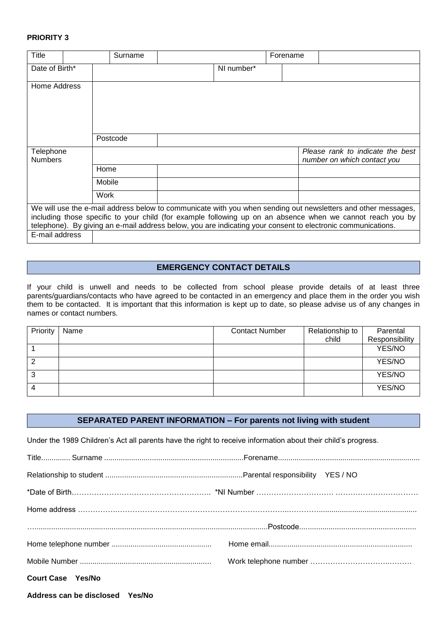#### **PRIORITY 3**

| Title                       | Surname  |            | Forename |                                                                                                                                                                                                                                                                                                                                             |
|-----------------------------|----------|------------|----------|---------------------------------------------------------------------------------------------------------------------------------------------------------------------------------------------------------------------------------------------------------------------------------------------------------------------------------------------|
| Date of Birth*              |          | NI number* |          |                                                                                                                                                                                                                                                                                                                                             |
| Home Address                |          |            |          |                                                                                                                                                                                                                                                                                                                                             |
|                             | Postcode |            |          |                                                                                                                                                                                                                                                                                                                                             |
| Telephone<br><b>Numbers</b> |          |            |          | Please rank to indicate the best<br>number on which contact you                                                                                                                                                                                                                                                                             |
|                             | Home     |            |          |                                                                                                                                                                                                                                                                                                                                             |
|                             | Mobile   |            |          |                                                                                                                                                                                                                                                                                                                                             |
|                             | Work     |            |          |                                                                                                                                                                                                                                                                                                                                             |
|                             |          |            |          | We will use the e-mail address below to communicate with you when sending out newsletters and other messages,<br>including those specific to your child (for example following up on an absence when we cannot reach you by<br>telephone). By giving an e-mail address below, you are indicating your consent to electronic communications. |
| E-mail address              |          |            |          |                                                                                                                                                                                                                                                                                                                                             |

## **EMERGENCY CONTACT DETAILS**

If your child is unwell and needs to be collected from school please provide details of at least three parents/guardians/contacts who have agreed to be contacted in an emergency and place them in the order you wish them to be contacted. It is important that this information is kept up to date, so please advise us of any changes in names or contact numbers.

| Priority | Name | <b>Contact Number</b> | Relationship to<br>child | Parental<br>Responsibility |
|----------|------|-----------------------|--------------------------|----------------------------|
|          |      |                       |                          | YES/NO                     |
| ∠        |      |                       |                          | YES/NO                     |
| 3        |      |                       |                          | YES/NO                     |
|          |      |                       |                          | YES/NO                     |

### **SEPARATED PARENT INFORMATION – For parents not living with student**

Under the 1989 Children's Act all parents have the right to receive information about their child's progress.

| <b>Court Case Yes/No</b> |  |
|--------------------------|--|

**Address can be disclosed Yes/No**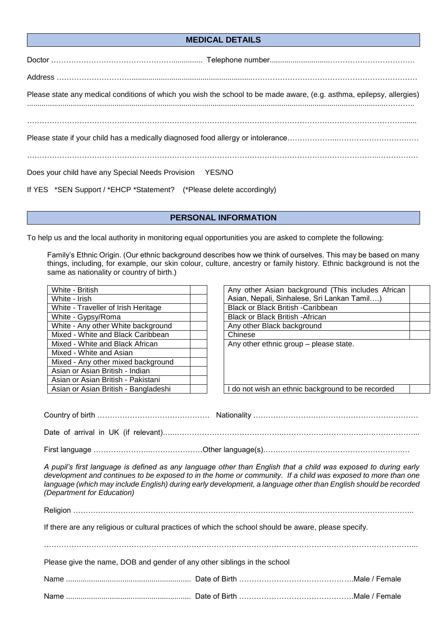#### **MEDICAL DETAILS**

| Please state any medical conditions of which you wish the school to be made aware, (e.g. asthma, epilepsy, allergies) |
|-----------------------------------------------------------------------------------------------------------------------|
|                                                                                                                       |
|                                                                                                                       |
| Does your child have any Special Needs Provision YES/NO                                                               |

If YES \*SEN Support / \*EHCP \*Statement? (\*Please delete accordingly)

#### **PERSONAL INFORMATION**

To help us and the local authority in monitoring equal opportunities you are asked to complete the following:

Family's Ethnic Origin. (Our ethnic background describes how we think of ourselves. This may be based on many things, including, for example, our skin colour, culture, ancestry or family history. Ethnic background is not the same as nationality or country of birth.)

| White - British                      | Any other Asian background (This in      |
|--------------------------------------|------------------------------------------|
| White - Irish                        | Asian, Nepali, Sinhalese, Sri Lankan T   |
| White - Traveller of Irish Heritage  | <b>Black or Black British -Caribbean</b> |
| White - Gypsy/Roma                   | <b>Black or Black British - African</b>  |
| White - Any other White background   | Any other Black background               |
| Mixed - White and Black Caribbean    | Chinese                                  |
| Mixed - White and Black African      | Any other ethnic group - please state.   |
| Mixed - White and Asian              |                                          |
| Mixed - Any other mixed background   |                                          |
| Asian or Asian British - Indian      |                                          |
| Asian or Asian British - Pakistani   |                                          |
| Asian or Asian British - Bangladeshi | I do not wish an ethnic background to b  |

| White - British                      | Any other Asian background (This includes African |
|--------------------------------------|---------------------------------------------------|
| White - Irish                        | Asian, Nepali, Sinhalese, Sri Lankan Tamil)       |
| White - Traveller of Irish Heritage  | Black or Black British -Caribbean                 |
| White - Gypsy/Roma                   | Black or Black British - African                  |
| White - Any other White background   | Any other Black background                        |
| Mixed - White and Black Caribbean    | Chinese                                           |
| Mixed - White and Black African      | Any other ethnic group - please state.            |
| Mixed - White and Asian              |                                                   |
| Mixed - Any other mixed background   |                                                   |
| Asian or Asian British - Indian      |                                                   |
| Asian or Asian British - Pakistani   |                                                   |
| Asian or Asian British - Bangladeshi | I do not wish an ethnic background to be recorded |

Country of birth ……………………………………… Nationality ………………………………………………………… Date of arrival in UK (if relevant)…..……………………………………..……………………………….……………...

First language …………………..…………………Other language(s)…….………………………………………….…

*A pupil's first language is defined as any language other than English that a child was exposed to during early development and continues to be exposed to in the home or community. If a child was exposed to more than one language (which may include English) during early development, a language other than English should be recorded (Department for Education)*

Religion ………………………………………………………………………………..………………………………….…..

…………………………………………………………………………………………………………………………………...

If there are any religious or cultural practices of which the school should be aware, please specify.

Please give the name, DOB and gender of any other siblings in the school